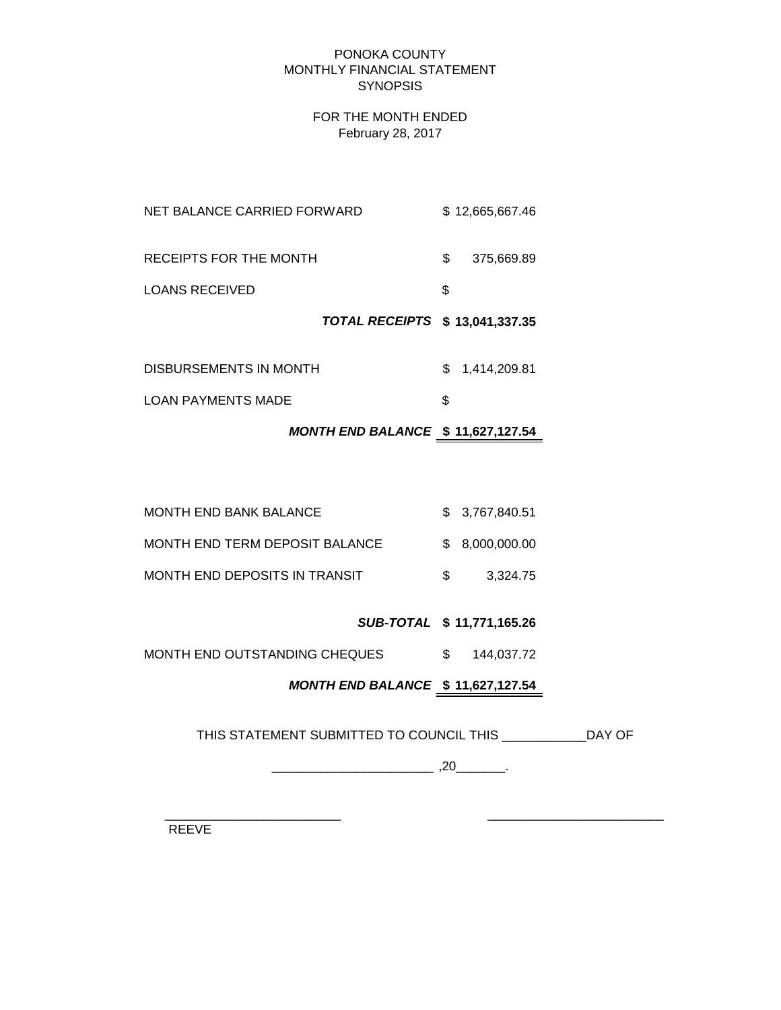#### PONOKA COUNTY MONTHLY FINANCIAL STATEMENT **SYNOPSIS**

# FOR THE MONTH ENDED February 28, 2017

|                             | TOTAL RECEIPTS \$ 13,041,337.35 |     |                 |
|-----------------------------|---------------------------------|-----|-----------------|
| <b>LOANS RECEIVED</b>       |                                 | S.  |                 |
| RECEIPTS FOR THE MONTH      |                                 | \$. | 375,669.89      |
| NET BALANCE CARRIED FORWARD |                                 |     | \$12,665,667.46 |

| DISBURSEMENTS IN MONTH    | \$ 1,414,209.81 |
|---------------------------|-----------------|
| <b>LOAN PAYMENTS MADE</b> |                 |

# *MONTH END BALANCE* **\$ 11,627,127.54**

| MONTH END BANK BALANCE         | \$3,767,840.51  |
|--------------------------------|-----------------|
| MONTH END TERM DEPOSIT BALANCE | \$ 8.000.000.00 |
| MONTH END DEPOSITS IN TRANSIT  | 3.324.75        |

# *SUB-TOTAL* **\$ 11,771,165.26**

MONTH END OUTSTANDING CHEQUES  $$ 144,037.72$ 

# *MONTH END BALANCE* **\$ 11,627,127.54**

THIS STATEMENT SUBMITTED TO COUNCIL THIS \_\_\_\_\_\_\_\_\_\_\_\_DAY OF

 $\overline{\phantom{a}20}$  ,  $\overline{\phantom{a}20}$  ,  $\overline{\phantom{a}20}$  .

 $\frac{1}{2}$  ,  $\frac{1}{2}$  ,  $\frac{1}{2}$  ,  $\frac{1}{2}$  ,  $\frac{1}{2}$  ,  $\frac{1}{2}$  ,  $\frac{1}{2}$  ,  $\frac{1}{2}$  ,  $\frac{1}{2}$  ,  $\frac{1}{2}$  ,  $\frac{1}{2}$  ,  $\frac{1}{2}$  ,  $\frac{1}{2}$  ,  $\frac{1}{2}$  ,  $\frac{1}{2}$  ,  $\frac{1}{2}$  ,  $\frac{1}{2}$  ,  $\frac{1}{2}$  ,  $\frac{1$ REEVE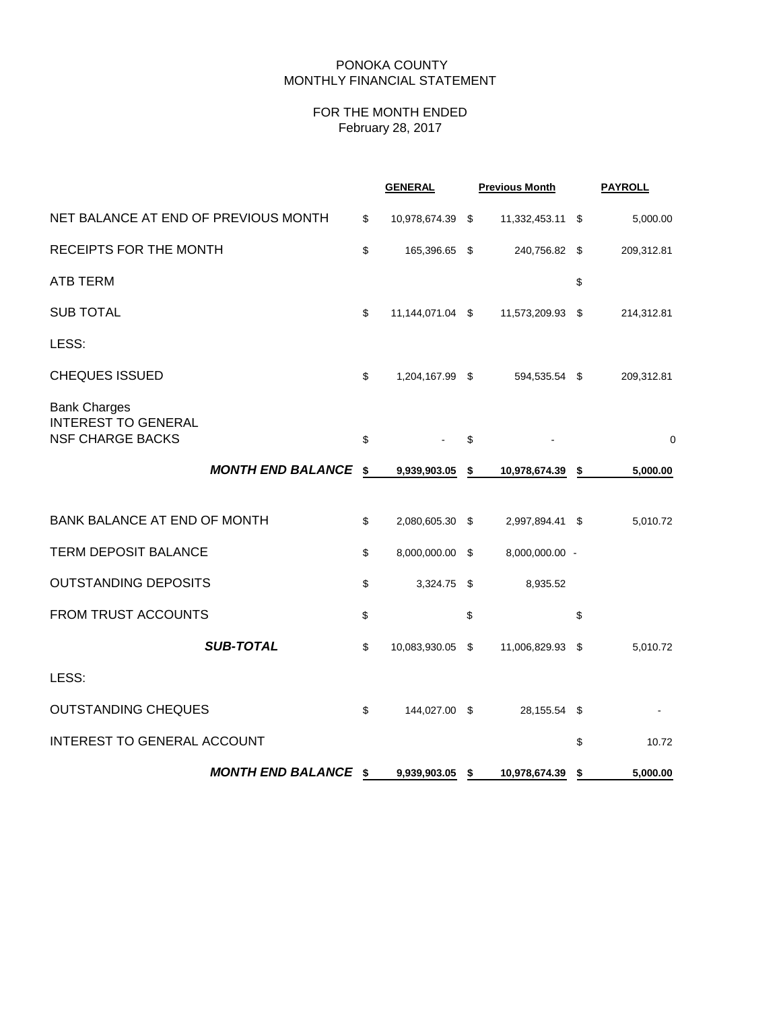## PONOKA COUNTY MONTHLY FINANCIAL STATEMENT

# FOR THE MONTH ENDED February 28, 2017

|                                                                              |                             | <b>GENERAL</b>         | <b>Previous Month</b>  | <b>PAYROLL</b> |
|------------------------------------------------------------------------------|-----------------------------|------------------------|------------------------|----------------|
| NET BALANCE AT END OF PREVIOUS MONTH                                         |                             | \$<br>10,978,674.39 \$ | 11,332,453.11 \$       | 5,000.00       |
| RECEIPTS FOR THE MONTH                                                       |                             | \$<br>165,396.65 \$    | 240,756.82 \$          | 209,312.81     |
| <b>ATB TERM</b>                                                              |                             |                        |                        | \$             |
| <b>SUB TOTAL</b>                                                             |                             | \$<br>11,144,071.04 \$ | 11,573,209.93 \$       | 214,312.81     |
| LESS:                                                                        |                             |                        |                        |                |
| <b>CHEQUES ISSUED</b>                                                        |                             | \$<br>1,204,167.99 \$  | 594,535.54 \$          | 209,312.81     |
| <b>Bank Charges</b><br><b>INTEREST TO GENERAL</b><br><b>NSF CHARGE BACKS</b> |                             | \$                     | \$                     | 0              |
|                                                                              | <b>MONTH END BALANCE \$</b> | 9,939,903.05           | \$<br>10,978,674.39 \$ | 5,000.00       |
| <b>BANK BALANCE AT END OF MONTH</b>                                          |                             | \$<br>2,080,605.30 \$  | 2,997,894.41 \$        | 5,010.72       |
| <b>TERM DEPOSIT BALANCE</b>                                                  |                             | \$<br>8,000,000.00 \$  | 8,000,000.00 -         |                |
| <b>OUTSTANDING DEPOSITS</b>                                                  |                             | \$<br>3,324.75 \$      | 8,935.52               |                |
| <b>FROM TRUST ACCOUNTS</b>                                                   |                             | \$                     | \$                     | \$             |
|                                                                              | <b>SUB-TOTAL</b>            | \$<br>10,083,930.05 \$ | 11,006,829.93 \$       | 5,010.72       |
| LESS:                                                                        |                             |                        |                        |                |
| <b>OUTSTANDING CHEQUES</b>                                                   |                             | \$<br>144,027.00 \$    | 28,155.54 \$           |                |
| <b>INTEREST TO GENERAL ACCOUNT</b>                                           |                             |                        |                        | \$<br>10.72    |
|                                                                              | <b>MONTH END BALANCE \$</b> | 9,939,903.05 \$        | 10,978,674.39          | \$<br>5,000.00 |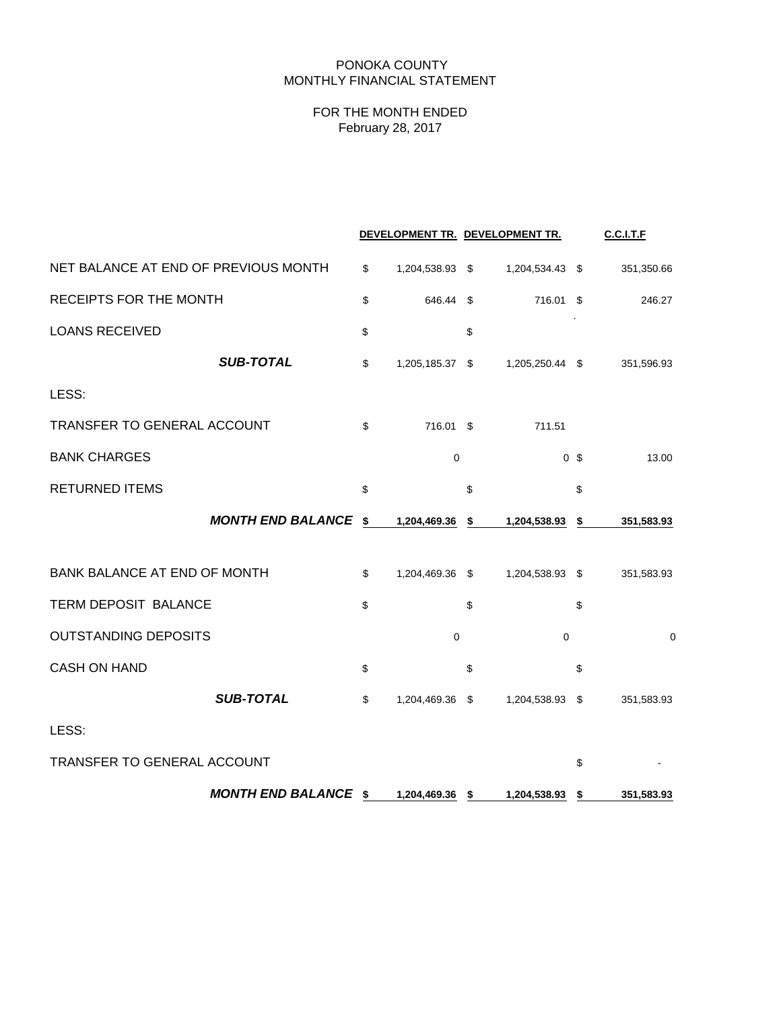# PONOKA COUNTY MONTHLY FINANCIAL STATEMENT

# FOR THE MONTH ENDED February 28, 2017

|                                      |                       | DEVELOPMENT TR. DEVELOPMENT TR. |                | <b>C.C.I.T.F</b> |
|--------------------------------------|-----------------------|---------------------------------|----------------|------------------|
| NET BALANCE AT END OF PREVIOUS MONTH | \$<br>1,204,538.93 \$ | 1,204,534.43 \$                 |                | 351,350.66       |
| <b>RECEIPTS FOR THE MONTH</b>        | \$<br>646.44          | \$<br>716.01 \$                 |                | 246.27           |
| <b>LOANS RECEIVED</b>                | \$                    | \$                              |                |                  |
| <b>SUB-TOTAL</b>                     | \$<br>1,205,185.37 \$ | 1,205,250.44 \$                 |                | 351,596.93       |
| LESS:                                |                       |                                 |                |                  |
| TRANSFER TO GENERAL ACCOUNT          | \$<br>716.01 \$       | 711.51                          |                |                  |
| <b>BANK CHARGES</b>                  | $\mathbf 0$           |                                 | 0 <sup>5</sup> | 13.00            |
| <b>RETURNED ITEMS</b>                | \$                    | \$                              | \$             |                  |
| <b>MONTH END BALANCE</b>             | \$<br>1,204,469.36    | \$<br>1,204,538.93              | \$             | 351,583.93       |
| BANK BALANCE AT END OF MONTH         | \$<br>1,204,469.36 \$ | 1,204,538.93 \$                 |                | 351,583.93       |
| TERM DEPOSIT BALANCE                 | \$                    | \$                              | \$             |                  |
| <b>OUTSTANDING DEPOSITS</b>          | $\mathbf 0$           | $\mathbf 0$                     |                | 0                |
| <b>CASH ON HAND</b>                  | \$                    | \$                              | \$             |                  |
| <b>SUB-TOTAL</b>                     | \$<br>1,204,469.36 \$ | 1,204,538.93 \$                 |                | 351,583.93       |
| LESS:                                |                       |                                 |                |                  |
| TRANSFER TO GENERAL ACCOUNT          |                       |                                 | \$             |                  |
| <b>MONTH END BALANCE \$</b>          | 1,204,469.36 \$       | 1,204,538.93                    | \$             | 351,583.93       |